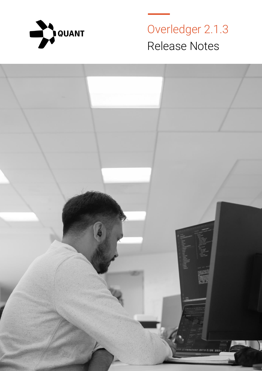

Overledger 2.1.3 Release Notes

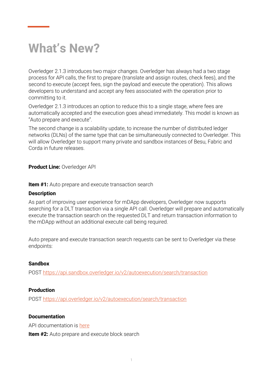# **What's New?**

Overledger 2.1.3 introduces two major changes. Overledger has always had a two stage process for API calls, the first to prepare (translate and assign routes, check fees), and the second to execute (accept fees, sign the payload and execute the operation). This allows developers to understand and accept any fees associated with the operation prior to committing to it.

Overledger 2.1.3 introduces an option to reduce this to a single stage, where fees are automatically accepted and the execution goes ahead immediately. This model is known as "Auto prepare and execute".

The second change is a scalability update, to increase the number of distributed ledger networks (DLNs) of the same type that can be simultaneously connected to Overledger. This will allow Overledger to support many private and sandbox instances of Besu, Fabric and Corda in future releases.

**Product Line:** Overledger API

**Item #1:** Auto prepare and execute transaction search

#### **Description**

As part of improving user experience for mDApp developers, Overledger now supports searching for a DLT transaction via a single API call. Overledger will prepare and automatically execute the transaction search on the requested DLT and return transaction information to the mDApp without an additional execute call being required.

Auto prepare and execute transaction search requests can be sent to Overledger via these endpoints:

## **Sandbox**

POST<https://api.sandbox.overledger.io/v2/autoexecution/search/transaction>

## **Production**

POST<https://api.overledger.io/v2/autoexecution/search/transaction>

## **Documentation**

API documentation is [here](https://docs.overledger.io/)

**Item #2:** Auto prepare and execute block search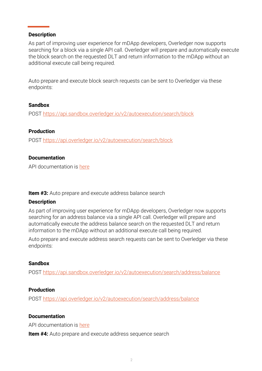## **Description**

As part of improving user experience for mDApp developers, Overledger now supports searching for a block via a single API call. Overledger will prepare and automatically execute the block search on the requested DLT and return information to the mDApp without an additional execute call being required.

Auto prepare and execute block search requests can be sent to Overledger via these endpoints:

#### **Sandbox**

POST<https://api.sandbox.overledger.io/v2/autoexecution/search/block>

#### **Production**

POST<https://api.overledger.io/v2/autoexecution/search/block>

#### **Documentation**

API documentation is [here](https://docs.overledger.io/)

**Item #3:** Auto prepare and execute address balance search

## **Description**

As part of improving user experience for mDApp developers, Overledger now supports searching for an address balance via a single API call. Overledger will prepare and automatically execute the address balance search on the requested DLT and return information to the mDApp without an additional execute call being required.

Auto prepare and execute address search requests can be sent to Overledger via these endpoints:

#### **Sandbox**

POST<https://api.sandbox.overledger.io/v2/autoexecution/search/address/balance>

## **Production**

POST<https://api.overledger.io/v2/autoexecution/search/address/balance>

## **Documentation**

API documentation is [here](https://docs.overledger.io/)

**Item #4:** Auto prepare and execute address sequence search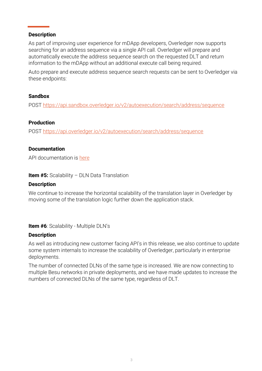# **Description**

As part of improving user experience for mDApp developers, Overledger now supports searching for an address sequence via a single API call. Overledger will prepare and automatically execute the address sequence search on the requested DLT and return information to the mDApp without an additional execute call being required.

Auto prepare and execute address sequence search requests can be sent to Overledger via these endpoints:

# **Sandbox**

POST<https://api.sandbox.overledger.io/v2/autoexecution/search/address/sequence>

# **Production**

POST<https://api.overledger.io/v2/autoexecution/search/address/sequence>

# **Documentation**

API documentation is [here](https://docs.overledger.io/)

**Item #5:** Scalability – DLN Data Translation

## **Description**

We continue to increase the horizontal scalability of the translation layer in Overledger by moving some of the translation logic further down the application stack.

**Item #6**: Scalability - Multiple DLN's

# **Description**

As well as introducing new customer facing API's in this release, we also continue to update some system internals to increase the scalability of Overledger, particularly in enterprise deployments.

The number of connected DLNs of the same type is increased. We are now connecting to multiple Besu networks in private deployments, and we have made updates to increase the numbers of connected DLNs of the same type, regardless of DLT.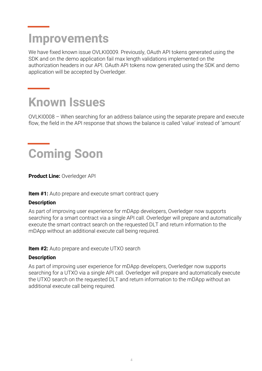# **Improvements**

We have fixed known issue OVLKI0009. Previously, OAuth API tokens generated using the SDK and on the demo application fail max length validations implemented on the authorization headers in our API. OAuth API tokens now generated using the SDK and demo application will be accepted by Overledger.

# **Known Issues**

OVLKI0008 – When searching for an address balance using the separate prepare and execute flow, the field in the API response that shows the balance is called 'value' instead of 'amount'

# **Coming Soon**

**Product Line:** Overledger API

**Item #1:** Auto prepare and execute smart contract query

# **Description**

As part of improving user experience for mDApp developers, Overledger now supports searching for a smart contract via a single API call. Overledger will prepare and automatically execute the smart contract search on the requested DLT and return information to the mDApp without an additional execute call being required.

**Item #2:** Auto prepare and execute UTXO search

## **Description**

As part of improving user experience for mDApp developers, Overledger now supports searching for a UTXO via a single API call. Overledger will prepare and automatically execute the UTXO search on the requested DLT and return information to the mDApp without an additional execute call being required.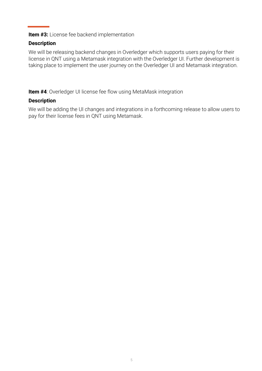**Item #3:** License fee backend implementation

# **Description**

We will be releasing backend changes in Overledger which supports users paying for their license in QNT using a Metamask integration with the Overledger UI. Further development is taking place to implement the user journey on the Overledger UI and Metamask integration.

**Item #4**: Overledger UI license fee flow using MetaMask integration

# **Description**

We will be adding the UI changes and integrations in a forthcoming release to allow users to pay for their license fees in QNT using Metamask.